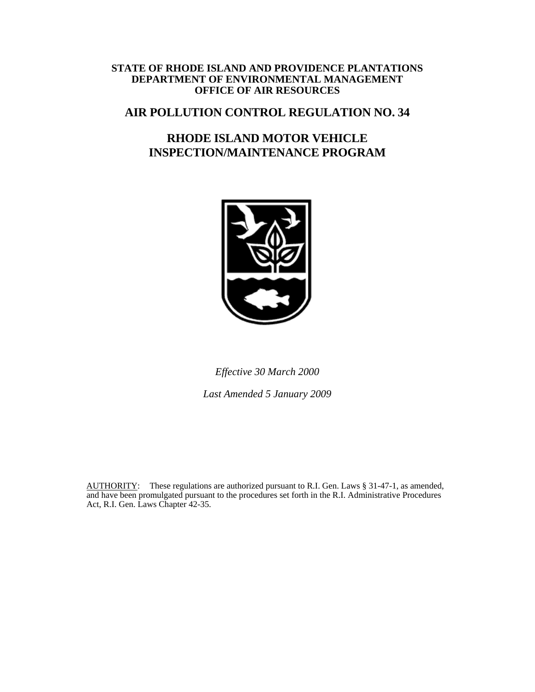#### **STATE OF RHODE ISLAND AND PROVIDENCE PLANTATIONS DEPARTMENT OF ENVIRONMENTAL MANAGEMENT OFFICE OF AIR RESOURCES**

# **AIR POLLUTION CONTROL REGULATION NO. 34**

# **RHODE ISLAND MOTOR VEHICLE INSPECTION/MAINTENANCE PROGRAM**



*Effective 30 March 2000* 

*Last Amended 5 January 2009* 

AUTHORITY: These regulations are authorized pursuant to R.I. Gen. Laws § 31-47-1, as amended, and have been promulgated pursuant to the procedures set forth in the R.I. Administrative Procedures Act, R.I. Gen. Laws Chapter 42-35.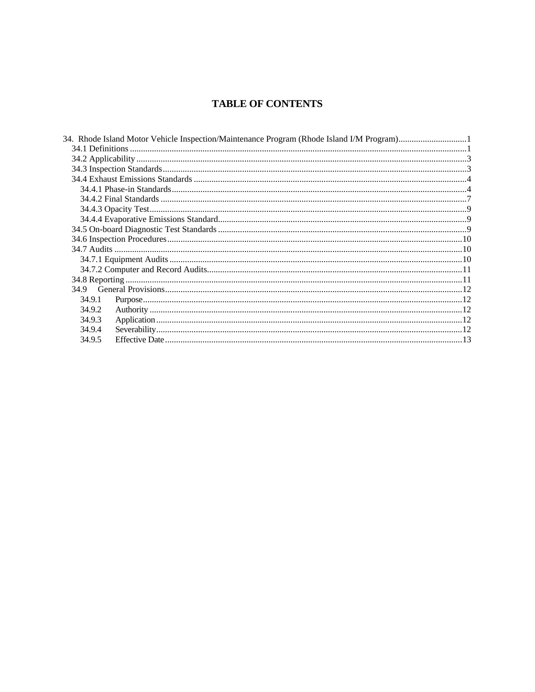# **TABLE OF CONTENTS**

|        | 34. Rhode Island Motor Vehicle Inspection/Maintenance Program (Rhode Island I/M Program)1 |  |
|--------|-------------------------------------------------------------------------------------------|--|
|        |                                                                                           |  |
|        |                                                                                           |  |
|        |                                                                                           |  |
|        |                                                                                           |  |
|        |                                                                                           |  |
|        |                                                                                           |  |
|        |                                                                                           |  |
|        |                                                                                           |  |
|        |                                                                                           |  |
|        |                                                                                           |  |
|        |                                                                                           |  |
|        |                                                                                           |  |
|        |                                                                                           |  |
|        |                                                                                           |  |
| 34.9   |                                                                                           |  |
| 34.9.1 |                                                                                           |  |
| 34.9.2 |                                                                                           |  |
| 34.9.3 |                                                                                           |  |
| 34.9.4 |                                                                                           |  |
| 34.9.5 |                                                                                           |  |
|        |                                                                                           |  |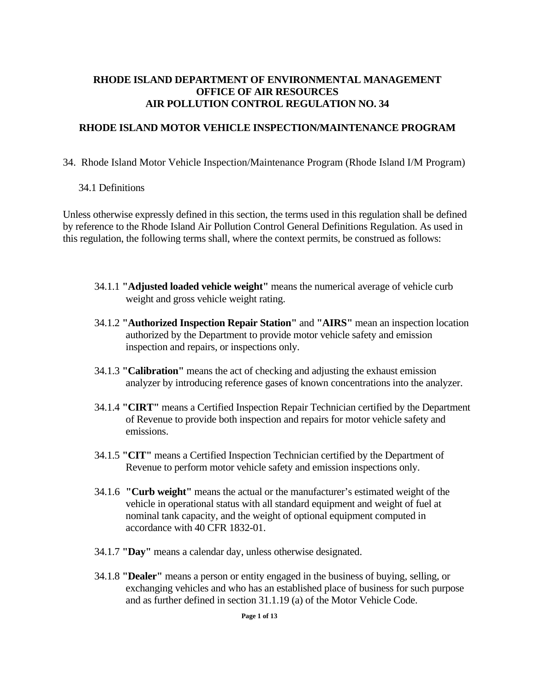## <span id="page-2-0"></span>**RHODE ISLAND DEPARTMENT OF ENVIRONMENTAL MANAGEMENT OFFICE OF AIR RESOURCES AIR POLLUTION CONTROL REGULATION NO. 34**

### **RHODE ISLAND MOTOR VEHICLE INSPECTION/MAINTENANCE PROGRAM**

### 34. Rhode Island Motor Vehicle Inspection/Maintenance Program (Rhode Island I/M Program)

### 34.1 Definitions

Unless otherwise expressly defined in this section, the terms used in this regulation shall be defined by reference to the Rhode Island Air Pollution Control General Definitions Regulation. As used in this regulation, the following terms shall, where the context permits, be construed as follows:

- 34.1.1 **"Adjusted loaded vehicle weight"** means the numerical average of vehicle curb weight and gross vehicle weight rating.
- 34.1.2 **"Authorized Inspection Repair Station"** and **"AIRS"** mean an inspection location authorized by the Department to provide motor vehicle safety and emission inspection and repairs, or inspections only.
- 34.1.3 **"Calibration"** means the act of checking and adjusting the exhaust emission analyzer by introducing reference gases of known concentrations into the analyzer.
- 34.1.4 **"CIRT"** means a Certified Inspection Repair Technician certified by the Department of Revenue to provide both inspection and repairs for motor vehicle safety and emissions.
- 34.1.5 **"CIT"** means a Certified Inspection Technician certified by the Department of Revenue to perform motor vehicle safety and emission inspections only.
- 34.1.6 **"Curb weight"** means the actual or the manufacturer's estimated weight of the vehicle in operational status with all standard equipment and weight of fuel at nominal tank capacity, and the weight of optional equipment computed in accordance with 40 CFR 1832-01.
- 34.1.7 **"Day"** means a calendar day, unless otherwise designated.
- 34.1.8 **"Dealer"** means a person or entity engaged in the business of buying, selling, or exchanging vehicles and who has an established place of business for such purpose and as further defined in section 31.1.19 (a) of the Motor Vehicle Code.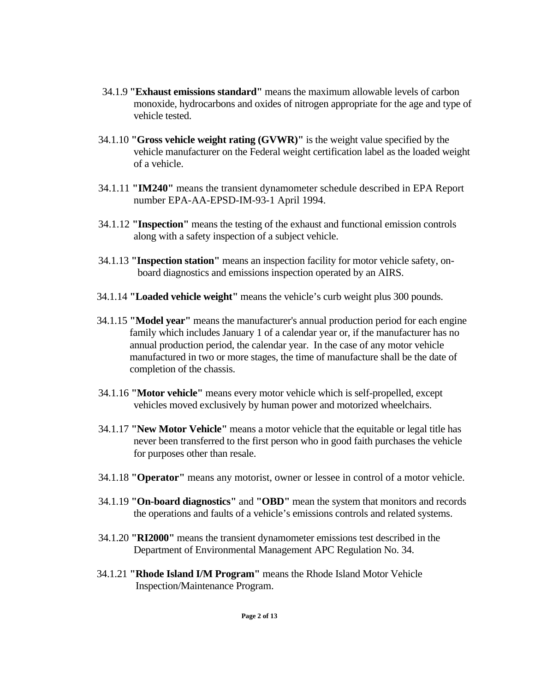- 34.1.9 **"Exhaust emissions standard"** means the maximum allowable levels of carbon monoxide, hydrocarbons and oxides of nitrogen appropriate for the age and type of vehicle tested.
- 34.1.10 **"Gross vehicle weight rating (GVWR)"** is the weight value specified by the vehicle manufacturer on the Federal weight certification label as the loaded weight of a vehicle.
- 34.1.11 **"IM240"** means the transient dynamometer schedule described in EPA Report number EPA-AA-EPSD-IM-93-1 April 1994.
- 34.1.12 **"Inspection"** means the testing of the exhaust and functional emission controls along with a safety inspection of a subject vehicle.
- 34.1.13 **"Inspection station"** means an inspection facility for motor vehicle safety, onboard diagnostics and emissions inspection operated by an AIRS.
- 34.1.14 **"Loaded vehicle weight"** means the vehicle's curb weight plus 300 pounds.
- 34.1.15 **"Model year"** means the manufacturer's annual production period for each engine family which includes January 1 of a calendar year or, if the manufacturer has no annual production period, the calendar year. In the case of any motor vehicle manufactured in two or more stages, the time of manufacture shall be the date of completion of the chassis.
- 34.1.16 **"Motor vehicle"** means every motor vehicle which is self-propelled, except vehicles moved exclusively by human power and motorized wheelchairs.
- 34.1.17 **"New Motor Vehicle"** means a motor vehicle that the equitable or legal title has never been transferred to the first person who in good faith purchases the vehicle for purposes other than resale.
- 34.1.18 **"Operator"** means any motorist, owner or lessee in control of a motor vehicle.
- 34.1.19 **"On-board diagnostics"** and **"OBD"** mean the system that monitors and records the operations and faults of a vehicle's emissions controls and related systems.
- 34.1.20 **"RI2000"** means the transient dynamometer emissions test described in the Department of Environmental Management APC Regulation No. 34.
- 34.1.21 **"Rhode Island I/M Program"** means the Rhode Island Motor Vehicle Inspection/Maintenance Program.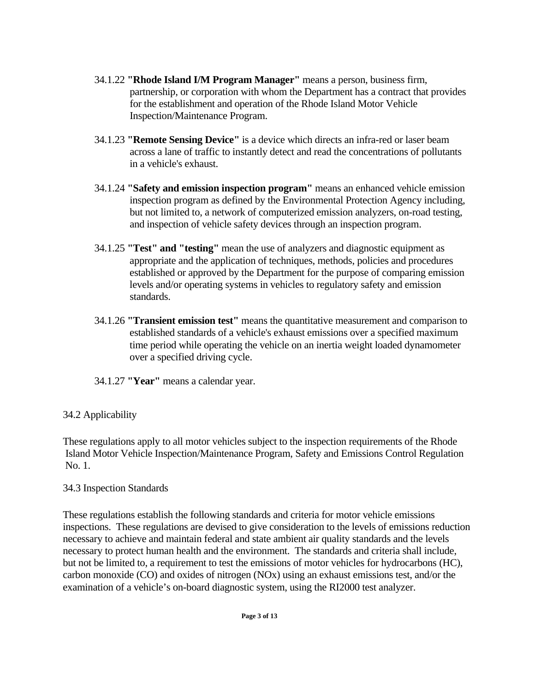- <span id="page-4-0"></span>34.1.22 **"Rhode Island I/M Program Manager"** means a person, business firm, partnership, or corporation with whom the Department has a contract that provides for the establishment and operation of the Rhode Island Motor Vehicle Inspection/Maintenance Program.
- 34.1.23 **"Remote Sensing Device"** is a device which directs an infra-red or laser beam across a lane of traffic to instantly detect and read the concentrations of pollutants in a vehicle's exhaust.
- 34.1.24 **"Safety and emission inspection program"** means an enhanced vehicle emission inspection program as defined by the Environmental Protection Agency including, but not limited to, a network of computerized emission analyzers, on-road testing, and inspection of vehicle safety devices through an inspection program.
- 34.1.25 **"Test" and "testing"** mean the use of analyzers and diagnostic equipment as appropriate and the application of techniques, methods, policies and procedures established or approved by the Department for the purpose of comparing emission levels and/or operating systems in vehicles to regulatory safety and emission standards.
- 34.1.26 **"Transient emission test"** means the quantitative measurement and comparison to established standards of a vehicle's exhaust emissions over a specified maximum time period while operating the vehicle on an inertia weight loaded dynamometer over a specified driving cycle.
- 34.1.27 **"Year"** means a calendar year.

# 34.2 Applicability

These regulations apply to all motor vehicles subject to the inspection requirements of the Rhode Island Motor Vehicle Inspection/Maintenance Program, Safety and Emissions Control Regulation No. 1.

# 34.3 Inspection Standards

These regulations establish the following standards and criteria for motor vehicle emissions inspections. These regulations are devised to give consideration to the levels of emissions reduction necessary to achieve and maintain federal and state ambient air quality standards and the levels necessary to protect human health and the environment. The standards and criteria shall include, but not be limited to, a requirement to test the emissions of motor vehicles for hydrocarbons (HC), carbon monoxide (CO) and oxides of nitrogen (NOx) using an exhaust emissions test, and/or the examination of a vehicle's on-board diagnostic system, using the RI2000 test analyzer.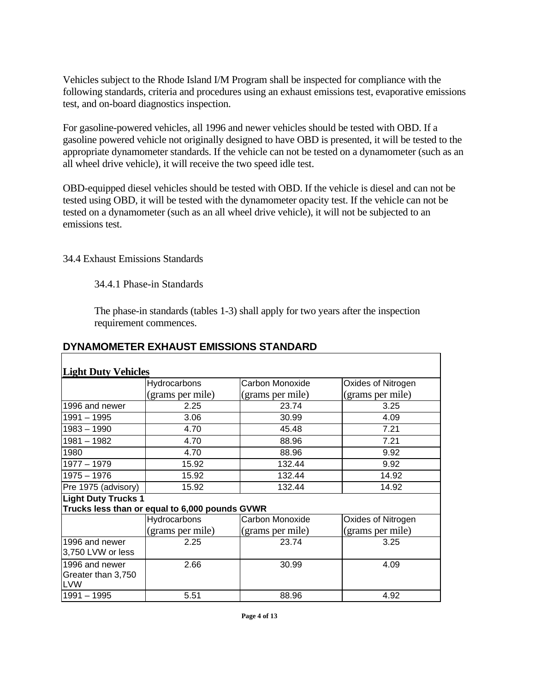<span id="page-5-0"></span>Vehicles subject to the Rhode Island I/M Program shall be inspected for compliance with the following standards, criteria and procedures using an exhaust emissions test, evaporative emissions test, and on-board diagnostics inspection.

For gasoline-powered vehicles, all 1996 and newer vehicles should be tested with OBD. If a gasoline powered vehicle not originally designed to have OBD is presented, it will be tested to the appropriate dynamometer standards. If the vehicle can not be tested on a dynamometer (such as an all wheel drive vehicle), it will receive the two speed idle test.

OBD-equipped diesel vehicles should be tested with OBD. If the vehicle is diesel and can not be tested using OBD, it will be tested with the dynamometer opacity test. If the vehicle can not be tested on a dynamometer (such as an all wheel drive vehicle), it will not be subjected to an emissions test.

34.4 Exhaust Emissions Standards

34.4.1 Phase-in Standards

The phase-in standards (tables 1-3) shall apply for two years after the inspection requirement commences.

٦

| DYNAMOMETER EXHAUST EMISSIONS STANDARD |
|----------------------------------------|
|----------------------------------------|

| <b>Light Duty Vehicles</b>                         |                                                |                  |                    |  |
|----------------------------------------------------|------------------------------------------------|------------------|--------------------|--|
|                                                    | Hydrocarbons                                   | Carbon Monoxide  | Oxides of Nitrogen |  |
|                                                    | (grams per mile)                               | (grams per mile) | (grams per mile)   |  |
| 1996 and newer                                     | 2.25                                           | 23.74            | 3.25               |  |
| $1991 - 1995$                                      | 3.06                                           | 30.99            | 4.09               |  |
| 1983 - 1990                                        | 4.70                                           | 45.48            | 7.21               |  |
| $1981 - 1982$                                      | 4.70                                           | 88.96            | 7.21               |  |
| 1980                                               | 4.70                                           | 88.96            | 9.92               |  |
| $1977 - 1979$                                      | 15.92                                          | 132.44           | 9.92               |  |
| $1975 - 1976$                                      | 15.92                                          | 132.44           | 14.92              |  |
| Pre 1975 (advisory)                                | 15.92                                          | 132.44           | 14.92              |  |
| <b>Light Duty Trucks 1</b>                         |                                                |                  |                    |  |
|                                                    | Trucks less than or equal to 6,000 pounds GVWR |                  |                    |  |
|                                                    | <b>Hydrocarbons</b>                            | Carbon Monoxide  | Oxides of Nitrogen |  |
|                                                    | (grams per mile)                               | (grams per mile) | (grams per mile)   |  |
| 1996 and newer<br>3,750 LVW or less                | 2.25                                           | 23.74            | 3.25               |  |
| 1996 and newer<br>Greater than 3,750<br><b>LVW</b> | 2.66                                           | 30.99            | 4.09               |  |
| $1991 - 1995$                                      | 5.51                                           | 88.96            | 4.92               |  |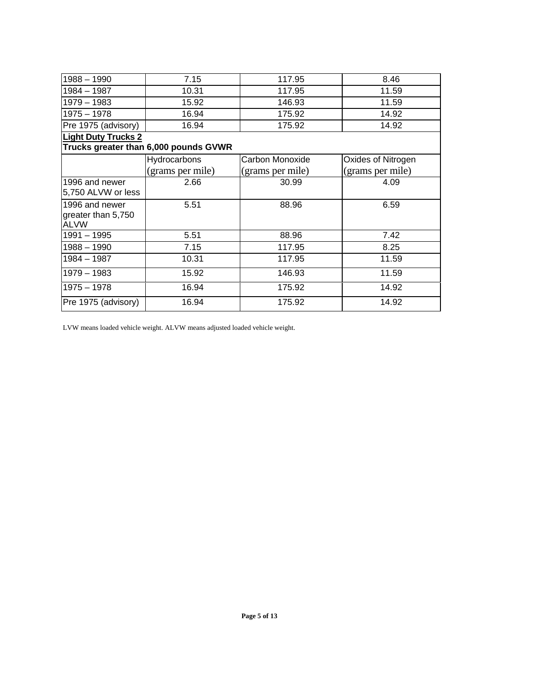| $1988 - 1990$              | 7.15                                  | 117.95           | 8.46               |
|----------------------------|---------------------------------------|------------------|--------------------|
| 1984 - 1987                | 10.31                                 | 117.95           | 11.59              |
| $1979 - 1983$              | 15.92                                 | 146.93           | 11.59              |
| $1975 - 1978$              | 16.94                                 | 175.92           | 14.92              |
| Pre 1975 (advisory)        | 16.94                                 | 175.92           | 14.92              |
| <b>Light Duty Trucks 2</b> |                                       |                  |                    |
|                            | Trucks greater than 6,000 pounds GVWR |                  |                    |
|                            | Hydrocarbons                          | Carbon Monoxide  | Oxides of Nitrogen |
|                            | (grams per mile)                      | (grams per mile) | (grams per mile)   |
| 1996 and newer             | 2.66                                  | 30.99            | 4.09               |
| 5,750 ALVW or less         |                                       |                  |                    |
| 1996 and newer             | 5.51                                  | 88.96            | 6.59               |
| greater than 5,750         |                                       |                  |                    |
| <b>ALVW</b>                |                                       |                  |                    |
| $1991 - 1995$              | 5.51                                  | 88.96            | 7.42               |
| $1988 - 1990$              | 7.15                                  | 117.95           | 8.25               |
| $1984 - 1987$              | 10.31                                 | 117.95           | 11.59              |
| $1979 - 1983$              | 15.92                                 | 146.93           | 11.59              |
| $1975 - 1978$              | 16.94                                 | 175.92           | 14.92              |
| Pre 1975 (advisory)        | 16.94                                 | 175.92           | 14.92              |

LVW means loaded vehicle weight. ALVW means adjusted loaded vehicle weight.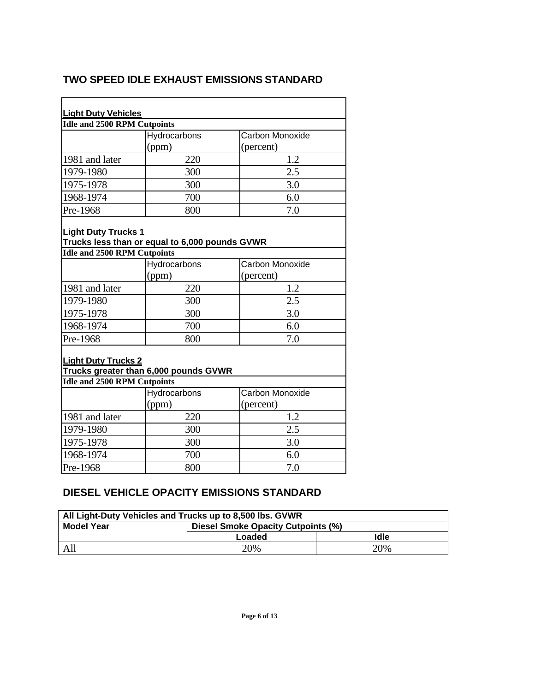# **TWO SPEED IDLE EXHAUST EMISSIONS STANDARD**

| <b>Light Duty Vehicles</b>                                       |                                                |                 |  |  |
|------------------------------------------------------------------|------------------------------------------------|-----------------|--|--|
| <b>Idle and 2500 RPM Cutpoints</b>                               |                                                |                 |  |  |
|                                                                  | Hydrocarbons                                   | Carbon Monoxide |  |  |
|                                                                  | (ppm)                                          | (percent)       |  |  |
| 1981 and later                                                   | 220                                            | 1.2             |  |  |
| 1979-1980                                                        | 300                                            | 2.5             |  |  |
| 1975-1978                                                        | 300                                            | 3.0             |  |  |
| 1968-1974                                                        | 700                                            | 6.0             |  |  |
| Pre-1968                                                         | 800                                            | 7.0             |  |  |
| <b>Light Duty Trucks 1</b><br>Idle and 2500 RPM Cutpoints        | Trucks less than or equal to 6,000 pounds GVWR |                 |  |  |
|                                                                  | Hydrocarbons                                   | Carbon Monoxide |  |  |
|                                                                  | (ppm)                                          | (percent)       |  |  |
| 1981 and later                                                   | 220                                            | 1.2             |  |  |
| 1979-1980                                                        | 300                                            | 2.5             |  |  |
| 1975-1978                                                        | 300                                            | 3.0             |  |  |
| 1968-1974                                                        | 700                                            | 6.0             |  |  |
| Pre-1968                                                         | 800                                            | 7.0             |  |  |
| <b>Light Duty Trucks 2</b><br><b>Idle and 2500 RPM Cutpoints</b> | Trucks greater than 6,000 pounds GVWR          |                 |  |  |
|                                                                  | Hydrocarbons                                   | Carbon Monoxide |  |  |
|                                                                  | (ppm)                                          | (percent)       |  |  |
| 1981 and later                                                   | 220                                            | 1.2             |  |  |
| 1979-1980                                                        | 300                                            | 2.5             |  |  |
| 1975-1978                                                        | 300                                            | 3.0             |  |  |
| 1968-1974                                                        | 700                                            | 6.0             |  |  |
| Pre-1968                                                         | 7.0<br>800                                     |                 |  |  |

# **DIESEL VEHICLE OPACITY EMISSIONS STANDARD**

| All Light-Duty Vehicles and Trucks up to 8,500 lbs. GVWR |                                           |      |  |  |
|----------------------------------------------------------|-------------------------------------------|------|--|--|
| <b>Model Year</b>                                        | <b>Diesel Smoke Opacity Cutpoints (%)</b> |      |  |  |
|                                                          | Loaded                                    | Idle |  |  |
| All                                                      | 20%                                       | 20%  |  |  |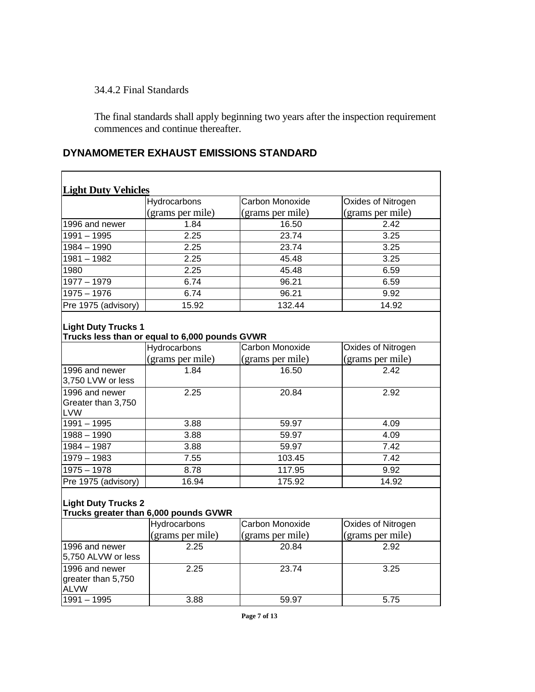<span id="page-8-0"></span>34.4.2 Final Standards

 The final standards shall apply beginning two years after the inspection requirement commences and continue thereafter.

#### **Light Duty Vehicles Hydrocarbons** (grams per mile) Carbon Monoxide (grams per mile) Oxides of Nitrogen (grams per mile) 1996 and newer 1.84 16.50 2.42 1991 – 1995 2.25 23.74 3.25 1984 – 1990 2.25 23.74 3.25 1981 – 1982 2.25 45.48 3.25 1980 2.25 45.48 6.59 1977 – 1979 6.74 96.21 6.59 1975 – 1976 – 1976 – 1975 – 1975 – 1975 – 1976 – 1976 – 1989 – 1989 – 1980 – 1980 – 1980 – 1980 – 19

Pre 1975 (advisory) 15.92 132.44 14.92

# **DYNAMOMETER EXHAUST EMISSIONS STANDARD**

| <b>Light Duty Trucks 1</b> |  |  |
|----------------------------|--|--|
|----------------------------|--|--|

#### **Trucks less than or equal to 6,000 pounds GVWR**

|                                                    | <b>Hydrocarbons</b> | Carbon Monoxide  | Oxides of Nitrogen |
|----------------------------------------------------|---------------------|------------------|--------------------|
|                                                    | (grams per mile)    | (grams per mile) | (grams per mile)   |
| 1996 and newer<br>3,750 LVW or less                | 1.84                | 16.50            | 2.42               |
| 1996 and newer<br>Greater than 3,750<br><b>LVW</b> | 2.25                | 20.84            | 2.92               |
| $1991 - 1995$                                      | 3.88                | 59.97            | 4.09               |
| $1988 - 1990$                                      | 3.88                | 59.97            | 4.09               |
| 1984 - 1987                                        | 3.88                | 59.97            | 7.42               |
| $1979 - 1983$                                      | 7.55                | 103.45           | 7.42               |
| $1975 - 1978$                                      | 8.78                | 117.95           | 9.92               |
| Pre 1975 (advisory)                                | 16.94               | 175.92           | 14.92              |

# **Light Duty Trucks 2**

#### **Trucks greater than 6,000 pounds GVWR**

|                                                     | <b>Hydrocarbons</b> | Carbon Monoxide  | <b>Oxides of Nitrogen</b> |
|-----------------------------------------------------|---------------------|------------------|---------------------------|
|                                                     | (grams per mile)    | (grams per mile) | (grams per mile)          |
| 1996 and newer                                      | 2.25                | 20.84            | 2.92                      |
| 5,750 ALVW or less                                  |                     |                  |                           |
| 1996 and newer<br>greater than 5,750<br><b>ALVW</b> | 2.25                | 23.74            | 3.25                      |
| l1991 – 1995                                        | 3.88                | 59.97            | 5.75                      |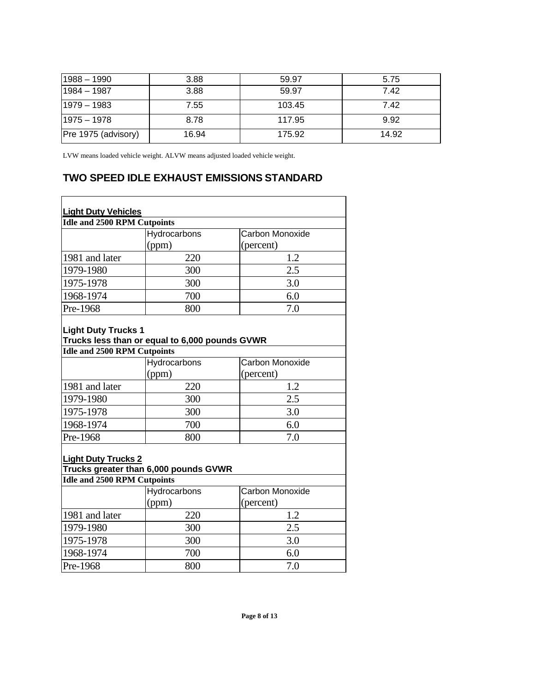| $1988 - 1990$       | 3.88  | 59.97  | 5.75  |
|---------------------|-------|--------|-------|
| $1984 - 1987$       | 3.88  | 59.97  | 7.42  |
| $1979 - 1983$       | 7.55  | 103.45 | 7.42  |
| $1975 - 1978$       | 8.78  | 117.95 | 9.92  |
| Pre 1975 (advisory) | 16.94 | 175.92 | 14.92 |

LVW means loaded vehicle weight. ALVW means adjusted loaded vehicle weight.

# **TWO SPEED IDLE EXHAUST EMISSIONS STANDARD**

| <b>Light Duty Vehicles</b>                                       |                                                |                                     |  |  |
|------------------------------------------------------------------|------------------------------------------------|-------------------------------------|--|--|
| <b>Idle and 2500 RPM Cutpoints</b>                               |                                                |                                     |  |  |
|                                                                  | Hydrocarbons                                   | Carbon Monoxide                     |  |  |
|                                                                  | (ppm)                                          | (percent)                           |  |  |
| 1981 and later                                                   | 220                                            | 1.2                                 |  |  |
| 1979-1980                                                        | 300                                            | 2.5                                 |  |  |
| 1975-1978                                                        | 300                                            | 3.0                                 |  |  |
| 1968-1974                                                        | 700                                            | 6.0                                 |  |  |
| Pre-1968                                                         | 800                                            | 7.0                                 |  |  |
| <b>Light Duty Trucks 1</b><br><b>Idle and 2500 RPM Cutpoints</b> | Trucks less than or equal to 6,000 pounds GVWR |                                     |  |  |
|                                                                  | Hydrocarbons                                   | Carbon Monoxide                     |  |  |
|                                                                  | (ppm)                                          | (percent)                           |  |  |
| 1981 and later                                                   | 220                                            | 1.2                                 |  |  |
| 1979-1980                                                        | 300                                            | 2.5                                 |  |  |
| 1975-1978                                                        | 300                                            | 3.0                                 |  |  |
| 1968-1974                                                        | 700                                            | 6.0                                 |  |  |
| Pre-1968                                                         | 800                                            | 7.0                                 |  |  |
| <b>Light Duty Trucks 2</b>                                       | Trucks greater than 6,000 pounds GVWR          |                                     |  |  |
| <b>Idle and 2500 RPM Cutpoints</b>                               |                                                |                                     |  |  |
|                                                                  | Hydrocarbons<br>(ppm)                          | <b>Carbon Monoxide</b><br>(percent) |  |  |
| 1981 and later                                                   | 220                                            | 1.2                                 |  |  |
| 1979-1980                                                        | 300                                            | 2.5                                 |  |  |
| 1975-1978                                                        | 300                                            | 3.0                                 |  |  |
| 1968-1974                                                        | 700                                            | 6.0                                 |  |  |
| Pre-1968                                                         | 800                                            | 7.0                                 |  |  |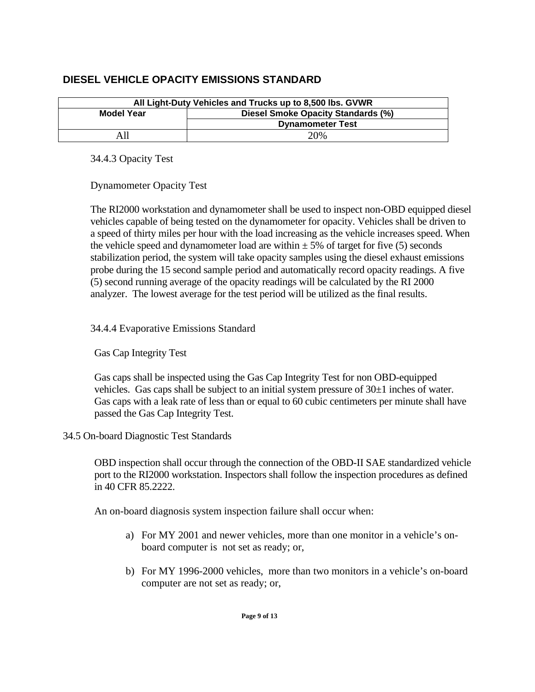# <span id="page-10-0"></span>**DIESEL VEHICLE OPACITY EMISSIONS STANDARD**

| All Light-Duty Vehicles and Trucks up to 8,500 lbs. GVWR |                         |  |  |
|----------------------------------------------------------|-------------------------|--|--|
| <b>Diesel Smoke Opacity Standards (%)</b><br>Model Year  |                         |  |  |
|                                                          | <b>Dynamometer Test</b> |  |  |
|                                                          | 20%                     |  |  |

34.4.3 Opacity Test

Dynamometer Opacity Test

The RI2000 workstation and dynamometer shall be used to inspect non-OBD equipped diesel vehicles capable of being tested on the dynamometer for opacity. Vehicles shall be driven to a speed of thirty miles per hour with the load increasing as the vehicle increases speed. When the vehicle speed and dynamometer load are within  $\pm$  5% of target for five (5) seconds stabilization period, the system will take opacity samples using the diesel exhaust emissions probe during the 15 second sample period and automatically record opacity readings. A five (5) second running average of the opacity readings will be calculated by the RI 2000 analyzer. The lowest average for the test period will be utilized as the final results.

## 34.4.4 Evaporative Emissions Standard

Gas Cap Integrity Test

 Gas caps shall be inspected using the Gas Cap Integrity Test for non OBD-equipped vehicles. Gas caps shall be subject to an initial system pressure of 30±1 inches of water. Gas caps with a leak rate of less than or equal to 60 cubic centimeters per minute shall have passed the Gas Cap Integrity Test.

### 34.5 On-board Diagnostic Test Standards

 OBD inspection shall occur through the connection of the OBD-II SAE standardized vehicle port to the RI2000 workstation. Inspectors shall follow the inspection procedures as defined in 40 CFR 85.2222.

An on-board diagnosis system inspection failure shall occur when:

- a) For MY 2001 and newer vehicles, more than one monitor in a vehicle's onboard computer is not set as ready; or,
- b) For MY 1996-2000 vehicles, more than two monitors in a vehicle's on-board computer are not set as ready; or,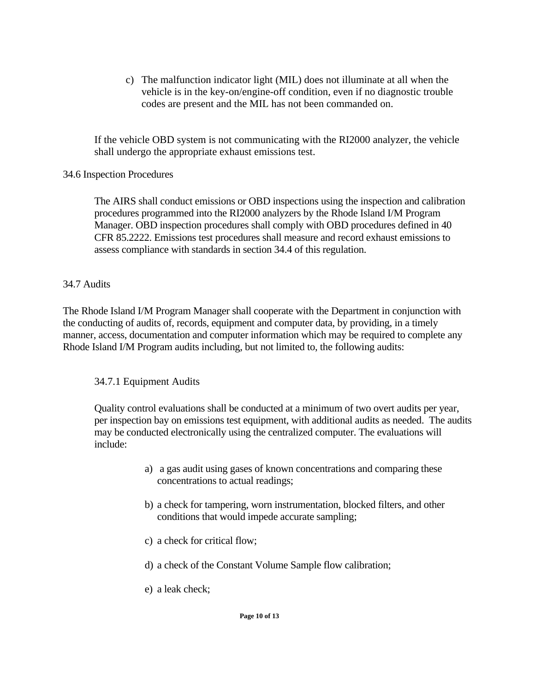<span id="page-11-0"></span>c) The malfunction indicator light (MIL) does not illuminate at all when the vehicle is in the key-on/engine-off condition, even if no diagnostic trouble codes are present and the MIL has not been commanded on.

If the vehicle OBD system is not communicating with the RI2000 analyzer, the vehicle shall undergo the appropriate exhaust emissions test.

### 34.6 Inspection Procedures

 The AIRS shall conduct emissions or OBD inspections using the inspection and calibration procedures programmed into the RI2000 analyzers by the Rhode Island I/M Program Manager. OBD inspection procedures shall comply with OBD procedures defined in 40 CFR 85.2222. Emissions test procedures shall measure and record exhaust emissions to assess compliance with standards in section 34.4 of this regulation.

## 34.7 Audits

 The Rhode Island I/M Program Manager shall cooperate with the Department in conjunction with the conducting of audits of, records, equipment and computer data, by providing, in a timely manner, access, documentation and computer information which may be required to complete any Rhode Island I/M Program audits including, but not limited to, the following audits:

# 34.7.1 Equipment Audits

 Quality control evaluations shall be conducted at a minimum of two overt audits per year, per inspection bay on emissions test equipment, with additional audits as needed. The audits may be conducted electronically using the centralized computer. The evaluations will include:

- a) a gas audit using gases of known concentrations and comparing these concentrations to actual readings;
- b) a check for tampering, worn instrumentation, blocked filters, and other conditions that would impede accurate sampling;
- c) a check for critical flow;
- d) a check of the Constant Volume Sample flow calibration;
- e) a leak check;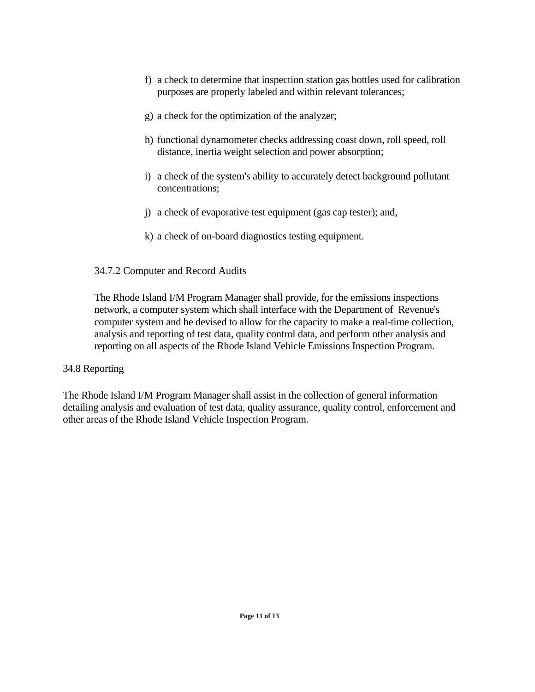- <span id="page-12-0"></span> f) a check to determine that inspection station gas bottles used for calibration purposes are properly labeled and within relevant tolerances;
- g) a check for the optimization of the analyzer;
- h) functional dynamometer checks addressing coast down, roll speed, roll distance, inertia weight selection and power absorption;
- i) a check of the system's ability to accurately detect background pollutant concentrations;
- j) a check of evaporative test equipment (gas cap tester); and,
- k) a check of on-board diagnostics testing equipment.

### 34.7.2 Computer and Record Audits

 The Rhode Island I/M Program Manager shall provide, for the emissions inspections network, a computer system which shall interface with the Department of Revenue's computer system and be devised to allow for the capacity to make a real-time collection, analysis and reporting of test data, quality control data, and perform other analysis and reporting on all aspects of the Rhode Island Vehicle Emissions Inspection Program.

### 34.8 Reporting

The Rhode Island I/M Program Manager shall assist in the collection of general information detailing analysis and evaluation of test data, quality assurance, quality control, enforcement and other areas of the Rhode Island Vehicle Inspection Program.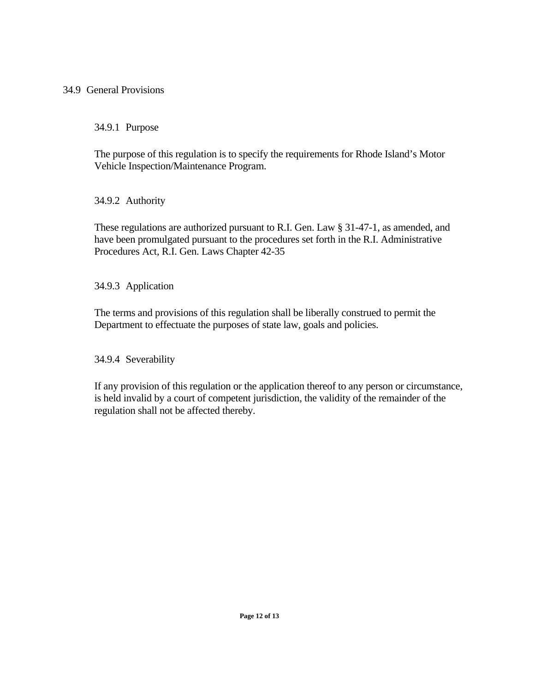### <span id="page-13-0"></span>34.9 General Provisions

34.9.1 Purpose

 The purpose of this regulation is to specify the requirements for Rhode Island's Motor Vehicle Inspection/Maintenance Program.

34.9.2 Authority

These regulations are authorized pursuant to R.I. Gen. Law § 31-47-1, as amended, and have been promulgated pursuant to the procedures set forth in the R.I. Administrative Procedures Act, R.I. Gen. Laws Chapter 42-35

34.9.3 Application

The terms and provisions of this regulation shall be liberally construed to permit the Department to effectuate the purposes of state law, goals and policies.

34.9.4 Severability

If any provision of this regulation or the application thereof to any person or circumstance, is held invalid by a court of competent jurisdiction, the validity of the remainder of the regulation shall not be affected thereby.